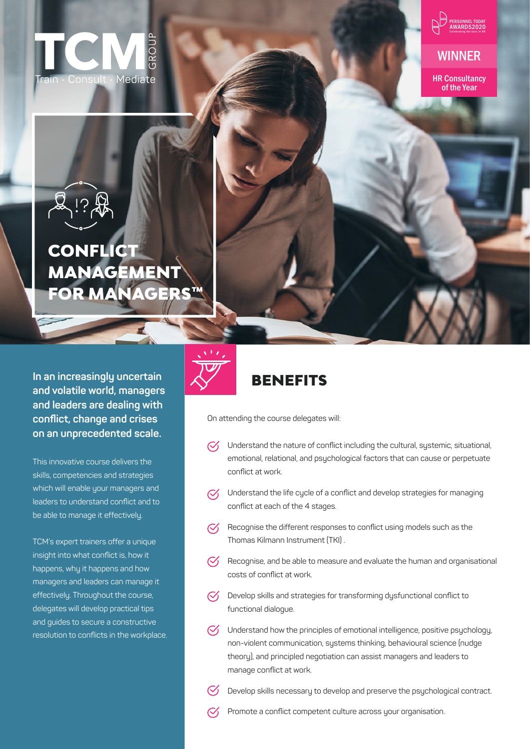

WINNER

HR Consultancy of the Year

# **CONFLICT** MANAGEMENT **FOR MANAGERS**

**In an increasingly uncertain and volatile world, managers and leaders are dealing with conflict, change and crises on an unprecedented scale.** 

This innovative course delivers the skills, competencies and strategies which will enable your managers and leaders to understand conflict and to be able to manage it effectively.

TCM's expert trainers offer a unique insight into what conflict is, how it happens, why it happens and how managers and leaders can manage it effectively. Throughout the course, delegates will develop practical tips and guides to secure a constructive resolution to conflicts in the workplace.



# **BENEFITS**

On attending the course delegates will:

- Understand the nature of conflict including the cultural, systemic, situational,  $\mathcal{C}'$ emotional, relational, and psychological factors that can cause or perpetuate conflict at work.
- Understand the life cycle of a conflict and develop strategies for managing  $\mathcal{C}'$ conflict at each of the 4 stages.
- Recognise the different responses to conflict using models such as the Thomas Kilmann Instrument (TKI) .
- $\heartsuit$  Recognise, and be able to measure and evaluate the human and organisational costs of conflict at work.
- Develop skills and strategies for transforming dysfunctional conflict to  $\mathcal{C}'$ functional dialogue.
- $\heartsuit$  Understand how the principles of emotional intelligence, positive psychology, non-violent communication, systems thinking, behavioural science (nudge theory), and principled negotiation can assist managers and leaders to manage conflict at work.
	- Develop skills necessary to develop and preserve the psychological contract.
- $\mathcal{C}$ Promote a conflict competent culture across your organisation.